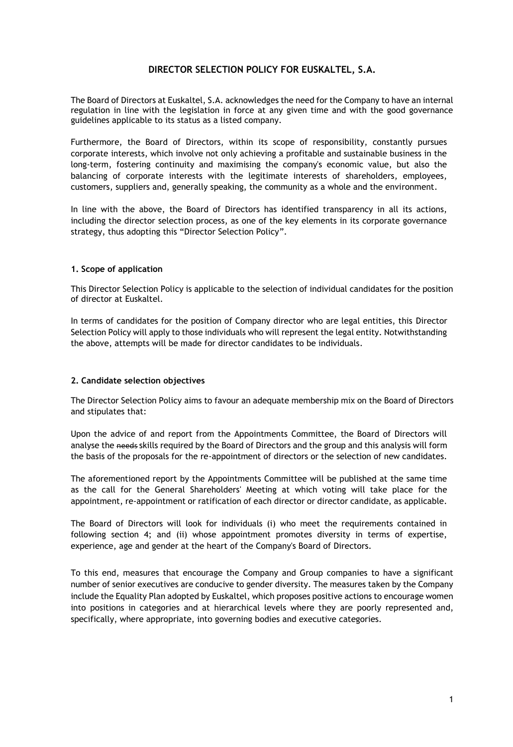# **DIRECTOR SELECTION POLICY FOR EUSKALTEL, S.A.**

The Board of Directors at Euskaltel, S.A. acknowledges the need for the Company to have an internal regulation in line with the legislation in force at any given time and with the good governance guidelines applicable to its status as a listed company.

Furthermore, the Board of Directors, within its scope of responsibility, constantly pursues corporate interests, which involve not only achieving a profitable and sustainable business in the long-term, fostering continuity and maximising the company's economic value, but also the balancing of corporate interests with the legitimate interests of shareholders, employees, customers, suppliers and, generally speaking, the community as a whole and the environment.

In line with the above, the Board of Directors has identified transparency in all its actions, including the director selection process, as one of the key elements in its corporate governance strategy, thus adopting this "Director Selection Policy".

### **1. Scope of application**

This Director Selection Policy is applicable to the selection of individual candidates for the position of director at Euskaltel.

In terms of candidates for the position of Company director who are legal entities, this Director Selection Policy will apply to those individuals who will represent the legal entity. Notwithstanding the above, attempts will be made for director candidates to be individuals.

#### **2. Candidate selection objectives**

The Director Selection Policy aims to favour an adequate membership mix on the Board of Directors and stipulates that:

Upon the advice of and report from the Appointments Committee, the Board of Directors will analyse the needs skills required by the Board of Directors and the group and this analysis will form the basis of the proposals for the re-appointment of directors or the selection of new candidates.

The aforementioned report by the Appointments Committee will be published at the same time as the call for the General Shareholders' Meeting at which voting will take place for the appointment, re-appointment or ratification of each director or director candidate, as applicable.

The Board of Directors will look for individuals (i) who meet the requirements contained in following section 4; and (ii) whose appointment promotes diversity in terms of expertise, experience, age and gender at the heart of the Company's Board of Directors.

To this end, measures that encourage the Company and Group companies to have a significant number of senior executives are conducive to gender diversity. The measures taken by the Company include the Equality Plan adopted by Euskaltel, which proposes positive actions to encourage women into positions in categories and at hierarchical levels where they are poorly represented and, specifically, where appropriate, into governing bodies and executive categories.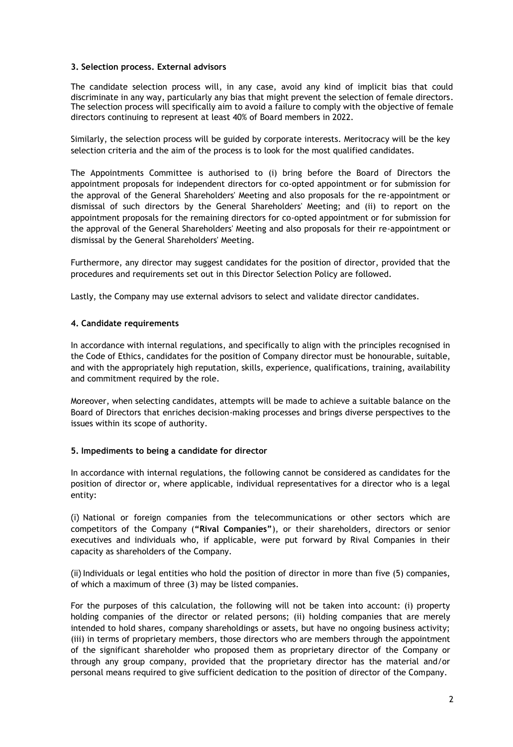### **3. Selection process. External advisors**

The candidate selection process will, in any case, avoid any kind of implicit bias that could discriminate in any way, particularly any bias that might prevent the selection of female directors. The selection process will specifically aim to avoid a failure to comply with the objective of female directors continuing to represent at least 40% of Board members in 2022.

Similarly, the selection process will be guided by corporate interests. Meritocracy will be the key selection criteria and the aim of the process is to look for the most qualified candidates.

The Appointments Committee is authorised to (i) bring before the Board of Directors the appointment proposals for independent directors for co-opted appointment or for submission for the approval of the General Shareholders' Meeting and also proposals for the re-appointment or dismissal of such directors by the General Shareholders' Meeting; and (ii) to report on the appointment proposals for the remaining directors for co-opted appointment or for submission for the approval of the General Shareholders' Meeting and also proposals for their re-appointment or dismissal by the General Shareholders' Meeting.

Furthermore, any director may suggest candidates for the position of director, provided that the procedures and requirements set out in this Director Selection Policy are followed.

Lastly, the Company may use external advisors to select and validate director candidates.

#### **4. Candidate requirements**

In accordance with internal regulations, and specifically to align with the principles recognised in the Code of Ethics, candidates for the position of Company director must be honourable, suitable, and with the appropriately high reputation, skills, experience, qualifications, training, availability and commitment required by the role.

Moreover, when selecting candidates, attempts will be made to achieve a suitable balance on the Board of Directors that enriches decision-making processes and brings diverse perspectives to the issues within its scope of authority.

#### **5. Impediments to being a candidate for director**

In accordance with internal regulations, the following cannot be considered as candidates for the position of director or, where applicable, individual representatives for a director who is a legal entity:

(i) National or foreign companies from the telecommunications or other sectors which are competitors of the Company (**"Rival Companies"**), or their shareholders, directors or senior executives and individuals who, if applicable, were put forward by Rival Companies in their capacity as shareholders of the Company.

(ii) Individuals or legal entities who hold the position of director in more than five (5) companies, of which a maximum of three (3) may be listed companies.

For the purposes of this calculation, the following will not be taken into account: (i) property holding companies of the director or related persons; (ii) holding companies that are merely intended to hold shares, company shareholdings or assets, but have no ongoing business activity; (iii) in terms of proprietary members, those directors who are members through the appointment of the significant shareholder who proposed them as proprietary director of the Company or through any group company, provided that the proprietary director has the material and/or personal means required to give sufficient dedication to the position of director of the Company.